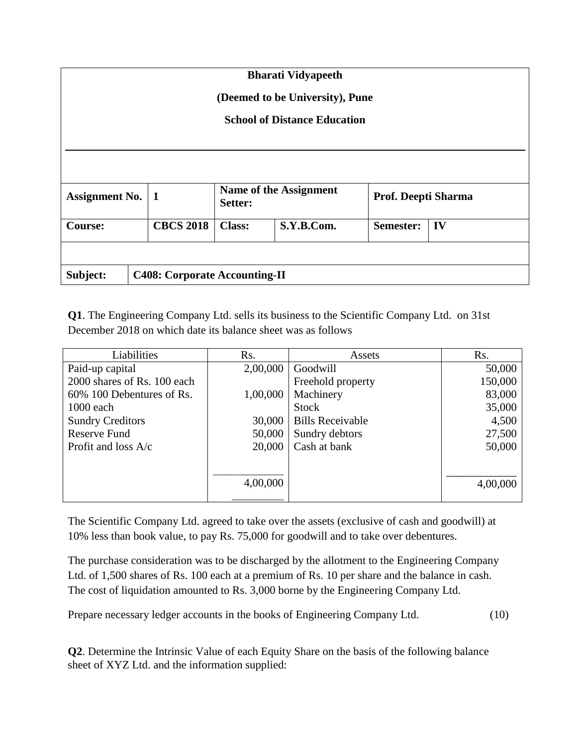| <b>Bharati Vidyapeeth</b>           |  |                                      |                                   |            |                     |    |  |  |  |
|-------------------------------------|--|--------------------------------------|-----------------------------------|------------|---------------------|----|--|--|--|
| (Deemed to be University), Pune     |  |                                      |                                   |            |                     |    |  |  |  |
| <b>School of Distance Education</b> |  |                                      |                                   |            |                     |    |  |  |  |
|                                     |  |                                      |                                   |            |                     |    |  |  |  |
|                                     |  |                                      |                                   |            |                     |    |  |  |  |
| <b>Assignment No.</b>               |  | 1                                    | Name of the Assignment<br>Setter: |            | Prof. Deepti Sharma |    |  |  |  |
| <b>Course:</b>                      |  | <b>CBCS 2018</b>                     | <b>Class:</b>                     | S.Y.B.Com. | Semester:           | IV |  |  |  |
|                                     |  |                                      |                                   |            |                     |    |  |  |  |
| Subject:                            |  | <b>C408: Corporate Accounting-II</b> |                                   |            |                     |    |  |  |  |

**Q1**. The Engineering Company Ltd. sells its business to the Scientific Company Ltd. on 31st December 2018 on which date its balance sheet was as follows

| Liabilities                 | Rs.      | Assets                  | Rs.      |
|-----------------------------|----------|-------------------------|----------|
| Paid-up capital             | 2,00,000 | Goodwill                | 50,000   |
| 2000 shares of Rs. 100 each |          | Freehold property       | 150,000  |
| 60% 100 Debentures of Rs.   | 1,00,000 | Machinery               | 83,000   |
| 1000 each                   |          | <b>Stock</b>            | 35,000   |
| <b>Sundry Creditors</b>     | 30,000   | <b>Bills Receivable</b> | 4,500    |
| <b>Reserve Fund</b>         | 50,000   | Sundry debtors          | 27,500   |
| Profit and loss $A/c$       | 20,000   | Cash at bank            | 50,000   |
|                             |          |                         |          |
|                             |          |                         |          |
|                             | 4,00,000 |                         | 4,00,000 |
|                             |          |                         |          |

The Scientific Company Ltd. agreed to take over the assets (exclusive of cash and goodwill) at 10% less than book value, to pay Rs. 75,000 for goodwill and to take over debentures.

The purchase consideration was to be discharged by the allotment to the Engineering Company Ltd. of 1,500 shares of Rs. 100 each at a premium of Rs. 10 per share and the balance in cash. The cost of liquidation amounted to Rs. 3,000 borne by the Engineering Company Ltd.

Prepare necessary ledger accounts in the books of Engineering Company Ltd. (10)

**Q2**. Determine the Intrinsic Value of each Equity Share on the basis of the following balance sheet of XYZ Ltd. and the information supplied: